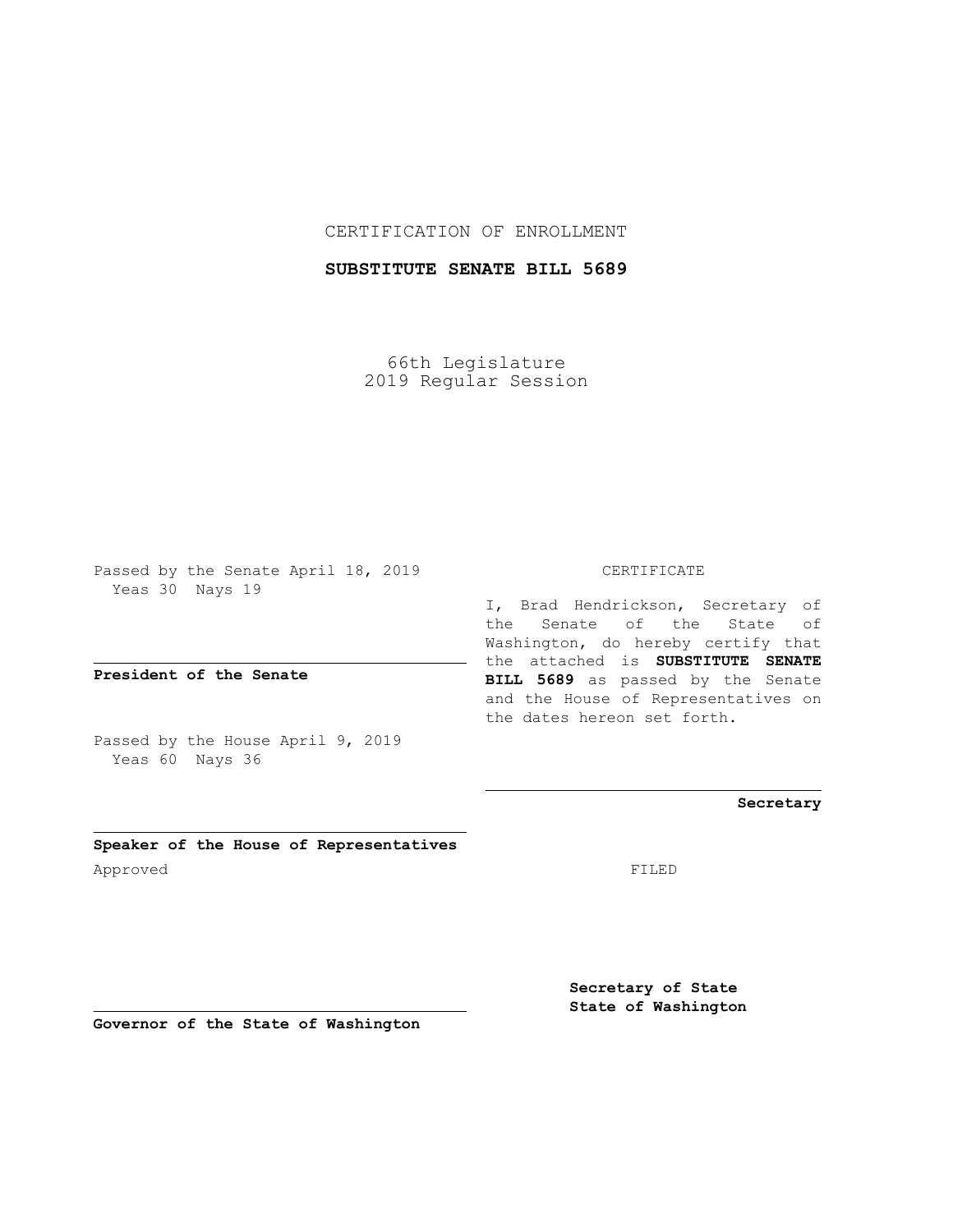## CERTIFICATION OF ENROLLMENT

## **SUBSTITUTE SENATE BILL 5689**

66th Legislature 2019 Regular Session

Passed by the Senate April 18, 2019 Yeas 30 Nays 19

**President of the Senate**

Passed by the House April 9, 2019 Yeas 60 Nays 36

**Speaker of the House of Representatives** Approved FILED

### CERTIFICATE

I, Brad Hendrickson, Secretary of the Senate of the State of Washington, do hereby certify that the attached is **SUBSTITUTE SENATE BILL 5689** as passed by the Senate and the House of Representatives on the dates hereon set forth.

### **Secretary**

**Secretary of State State of Washington**

**Governor of the State of Washington**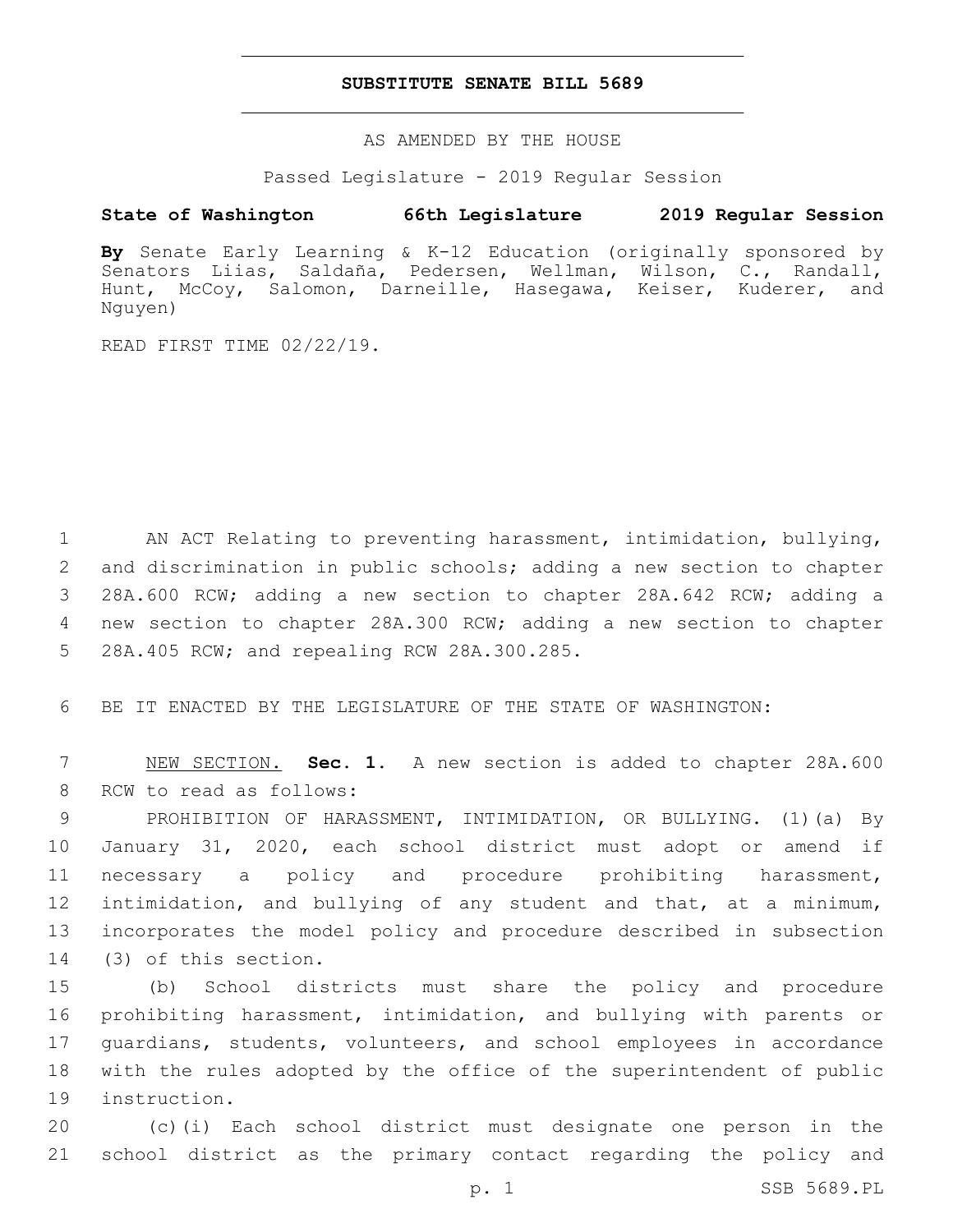#### **SUBSTITUTE SENATE BILL 5689**

AS AMENDED BY THE HOUSE

Passed Legislature - 2019 Regular Session

# **State of Washington 66th Legislature 2019 Regular Session**

**By** Senate Early Learning & K-12 Education (originally sponsored by Senators Liias, Saldaña, Pedersen, Wellman, Wilson, C., Randall, Hunt, McCoy, Salomon, Darneille, Hasegawa, Keiser, Kuderer, and Nguyen)

READ FIRST TIME 02/22/19.

 AN ACT Relating to preventing harassment, intimidation, bullying, and discrimination in public schools; adding a new section to chapter 28A.600 RCW; adding a new section to chapter 28A.642 RCW; adding a new section to chapter 28A.300 RCW; adding a new section to chapter 5 28A.405 RCW; and repealing RCW 28A.300.285.

6 BE IT ENACTED BY THE LEGISLATURE OF THE STATE OF WASHINGTON:

7 NEW SECTION. **Sec. 1.** A new section is added to chapter 28A.600 8 RCW to read as follows:

 PROHIBITION OF HARASSMENT, INTIMIDATION, OR BULLYING. (1)(a) By January 31, 2020, each school district must adopt or amend if necessary a policy and procedure prohibiting harassment, intimidation, and bullying of any student and that, at a minimum, incorporates the model policy and procedure described in subsection 14 (3) of this section.

 (b) School districts must share the policy and procedure prohibiting harassment, intimidation, and bullying with parents or guardians, students, volunteers, and school employees in accordance with the rules adopted by the office of the superintendent of public 19 instruction.

20 (c)(i) Each school district must designate one person in the 21 school district as the primary contact regarding the policy and

p. 1 SSB 5689.PL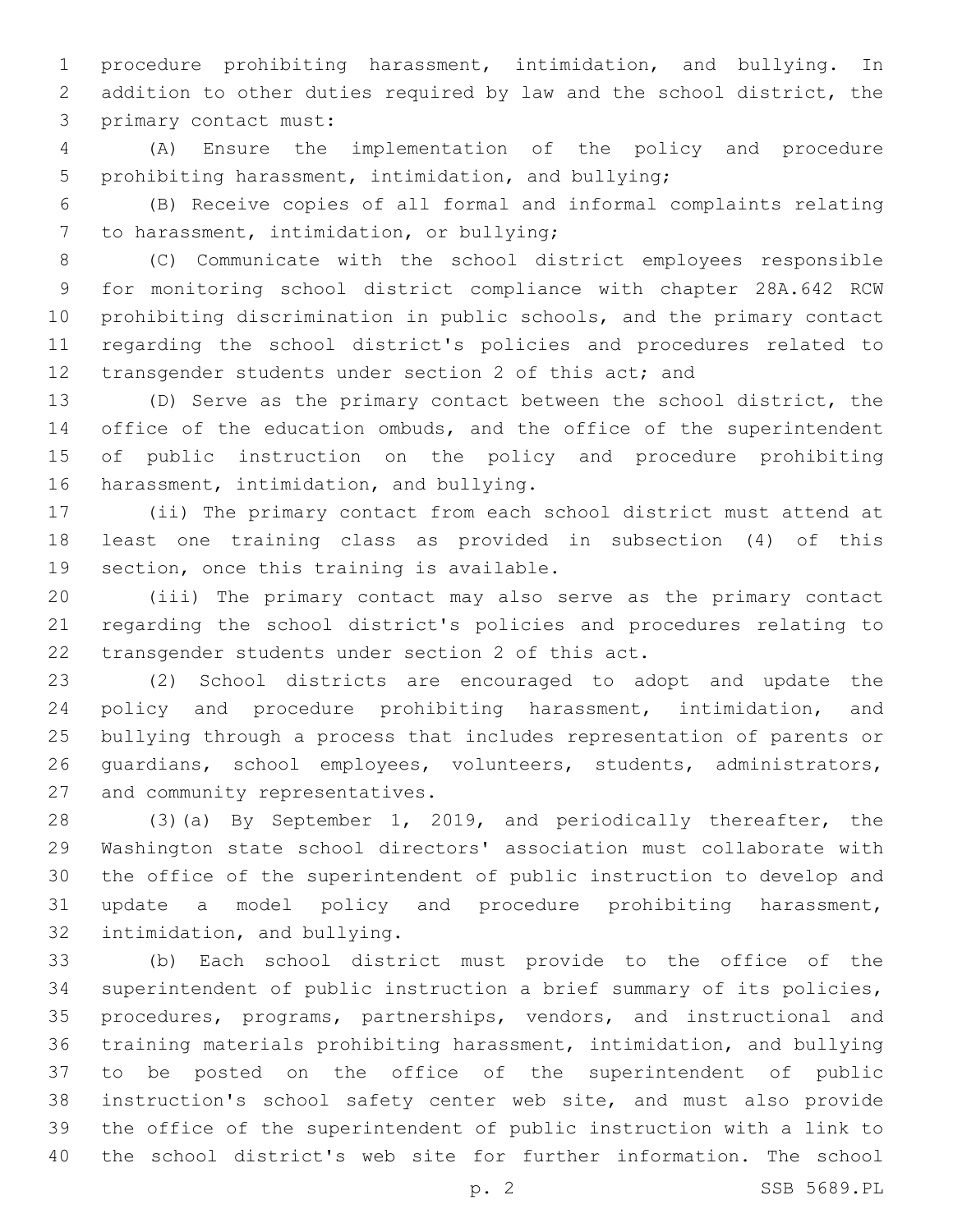procedure prohibiting harassment, intimidation, and bullying. In addition to other duties required by law and the school district, the 3 primary contact must:

 (A) Ensure the implementation of the policy and procedure prohibiting harassment, intimidation, and bullying;

 (B) Receive copies of all formal and informal complaints relating 7 to harassment, intimidation, or bullying;

 (C) Communicate with the school district employees responsible for monitoring school district compliance with chapter 28A.642 RCW prohibiting discrimination in public schools, and the primary contact regarding the school district's policies and procedures related to 12 transgender students under section 2 of this act; and

 (D) Serve as the primary contact between the school district, the 14 office of the education ombuds, and the office of the superintendent of public instruction on the policy and procedure prohibiting 16 harassment, intimidation, and bullying.

 (ii) The primary contact from each school district must attend at least one training class as provided in subsection (4) of this 19 section, once this training is available.

 (iii) The primary contact may also serve as the primary contact regarding the school district's policies and procedures relating to 22 transgender students under section 2 of this act.

 (2) School districts are encouraged to adopt and update the policy and procedure prohibiting harassment, intimidation, and bullying through a process that includes representation of parents or guardians, school employees, volunteers, students, administrators, 27 and community representatives.

 (3)(a) By September 1, 2019, and periodically thereafter, the Washington state school directors' association must collaborate with the office of the superintendent of public instruction to develop and update a model policy and procedure prohibiting harassment, 32 intimidation, and bullying.

 (b) Each school district must provide to the office of the superintendent of public instruction a brief summary of its policies, procedures, programs, partnerships, vendors, and instructional and training materials prohibiting harassment, intimidation, and bullying to be posted on the office of the superintendent of public instruction's school safety center web site, and must also provide the office of the superintendent of public instruction with a link to the school district's web site for further information. The school

p. 2 SSB 5689.PL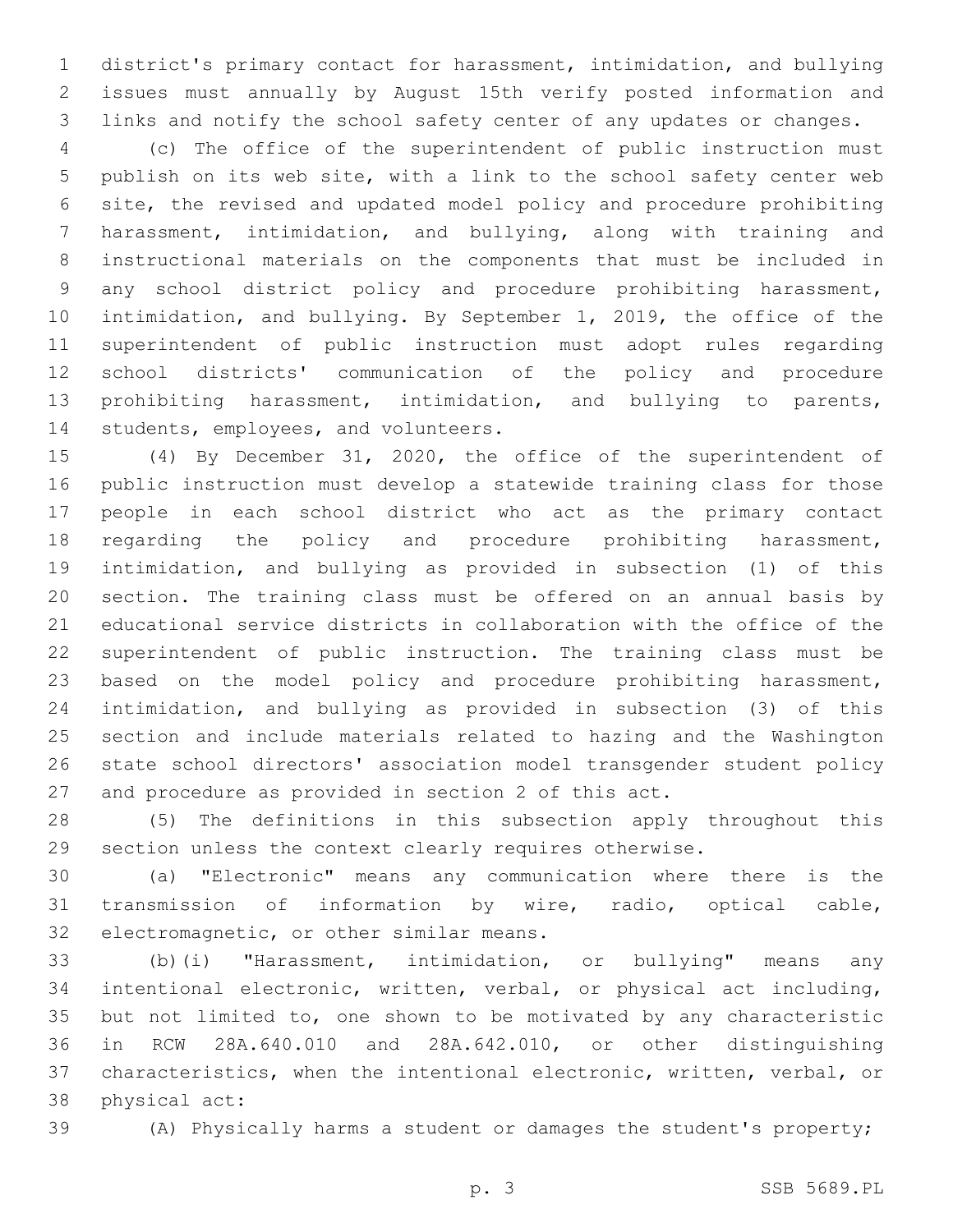district's primary contact for harassment, intimidation, and bullying issues must annually by August 15th verify posted information and links and notify the school safety center of any updates or changes.

 (c) The office of the superintendent of public instruction must publish on its web site, with a link to the school safety center web site, the revised and updated model policy and procedure prohibiting harassment, intimidation, and bullying, along with training and instructional materials on the components that must be included in any school district policy and procedure prohibiting harassment, intimidation, and bullying. By September 1, 2019, the office of the superintendent of public instruction must adopt rules regarding school districts' communication of the policy and procedure prohibiting harassment, intimidation, and bullying to parents, 14 students, employees, and volunteers.

 (4) By December 31, 2020, the office of the superintendent of public instruction must develop a statewide training class for those people in each school district who act as the primary contact regarding the policy and procedure prohibiting harassment, intimidation, and bullying as provided in subsection (1) of this section. The training class must be offered on an annual basis by educational service districts in collaboration with the office of the superintendent of public instruction. The training class must be based on the model policy and procedure prohibiting harassment, intimidation, and bullying as provided in subsection (3) of this section and include materials related to hazing and the Washington state school directors' association model transgender student policy and procedure as provided in section 2 of this act.

 (5) The definitions in this subsection apply throughout this section unless the context clearly requires otherwise.

 (a) "Electronic" means any communication where there is the transmission of information by wire, radio, optical cable, 32 electromagnetic, or other similar means.

 (b)(i) "Harassment, intimidation, or bullying" means any intentional electronic, written, verbal, or physical act including, but not limited to, one shown to be motivated by any characteristic in RCW 28A.640.010 and 28A.642.010, or other distinguishing characteristics, when the intentional electronic, written, verbal, or 38 physical act:

(A) Physically harms a student or damages the student's property;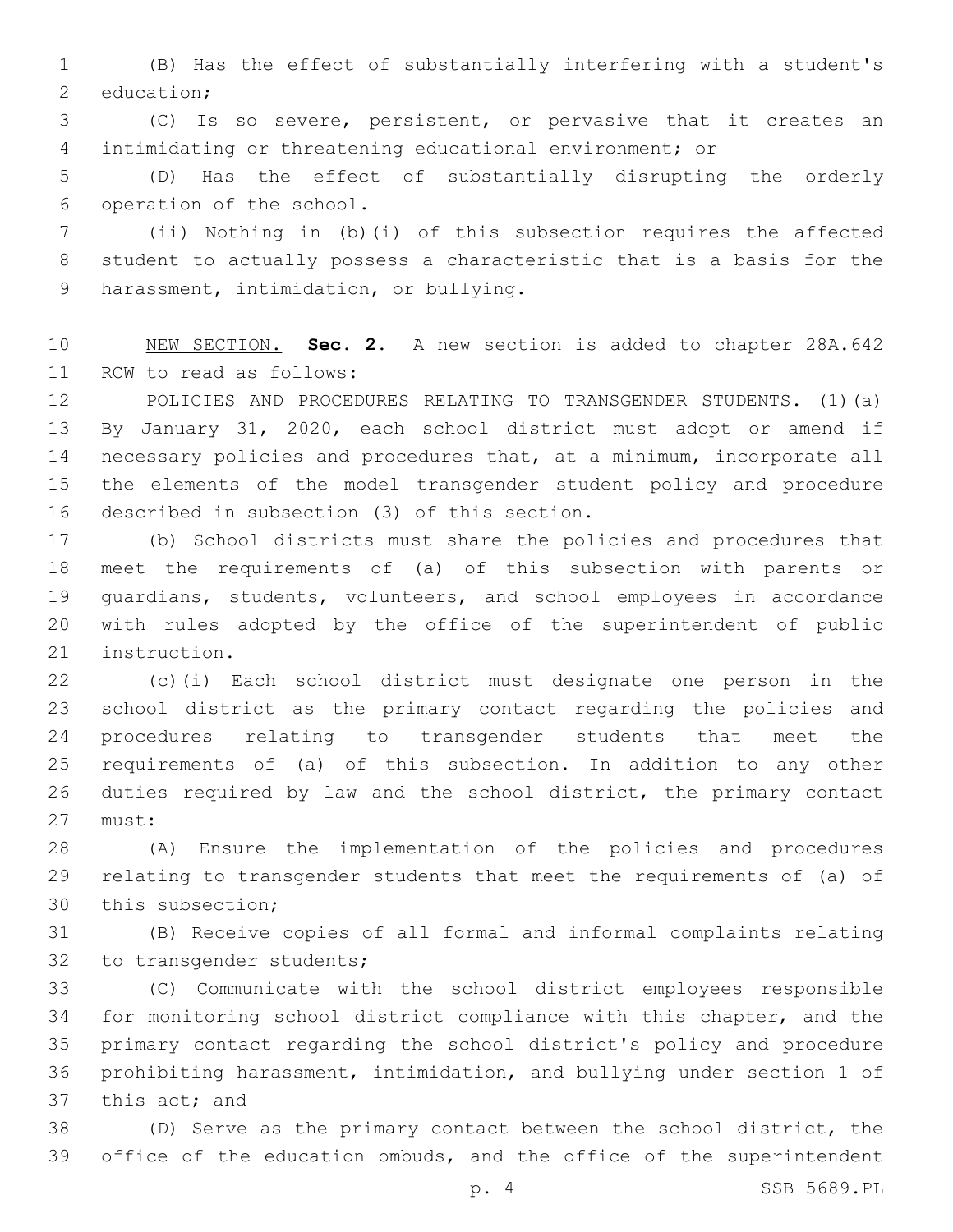(B) Has the effect of substantially interfering with a student's 2 education;

 (C) Is so severe, persistent, or pervasive that it creates an intimidating or threatening educational environment; or

 (D) Has the effect of substantially disrupting the orderly 6 operation of the school.

 (ii) Nothing in (b)(i) of this subsection requires the affected student to actually possess a characteristic that is a basis for the 9 harassment, intimidation, or bullying.

 NEW SECTION. **Sec. 2.** A new section is added to chapter 28A.642 11 RCW to read as follows:

 POLICIES AND PROCEDURES RELATING TO TRANSGENDER STUDENTS. (1)(a) By January 31, 2020, each school district must adopt or amend if necessary policies and procedures that, at a minimum, incorporate all the elements of the model transgender student policy and procedure 16 described in subsection (3) of this section.

 (b) School districts must share the policies and procedures that meet the requirements of (a) of this subsection with parents or guardians, students, volunteers, and school employees in accordance with rules adopted by the office of the superintendent of public 21 instruction.

 (c)(i) Each school district must designate one person in the school district as the primary contact regarding the policies and procedures relating to transgender students that meet the requirements of (a) of this subsection. In addition to any other duties required by law and the school district, the primary contact 27 must:

 (A) Ensure the implementation of the policies and procedures relating to transgender students that meet the requirements of (a) of 30 this subsection;

 (B) Receive copies of all formal and informal complaints relating 32 to transgender students;

 (C) Communicate with the school district employees responsible for monitoring school district compliance with this chapter, and the primary contact regarding the school district's policy and procedure prohibiting harassment, intimidation, and bullying under section 1 of 37 this act; and

 (D) Serve as the primary contact between the school district, the office of the education ombuds, and the office of the superintendent

p. 4 SSB 5689.PL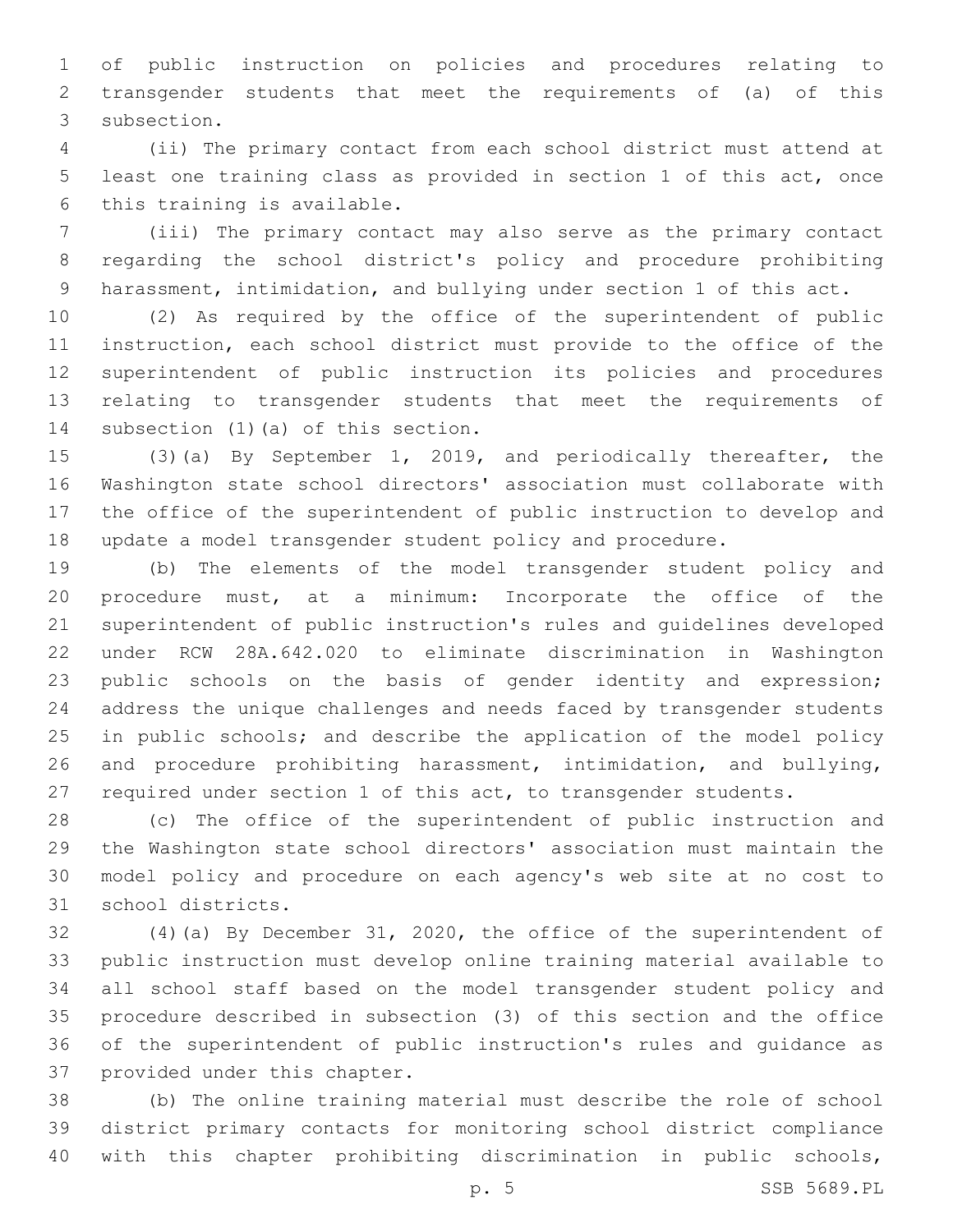of public instruction on policies and procedures relating to transgender students that meet the requirements of (a) of this 3 subsection.

 (ii) The primary contact from each school district must attend at least one training class as provided in section 1 of this act, once 6 this training is available.

 (iii) The primary contact may also serve as the primary contact regarding the school district's policy and procedure prohibiting harassment, intimidation, and bullying under section 1 of this act.

 (2) As required by the office of the superintendent of public instruction, each school district must provide to the office of the superintendent of public instruction its policies and procedures relating to transgender students that meet the requirements of 14 subsection (1) (a) of this section.

 (3)(a) By September 1, 2019, and periodically thereafter, the Washington state school directors' association must collaborate with the office of the superintendent of public instruction to develop and update a model transgender student policy and procedure.

 (b) The elements of the model transgender student policy and procedure must, at a minimum: Incorporate the office of the superintendent of public instruction's rules and guidelines developed under RCW 28A.642.020 to eliminate discrimination in Washington public schools on the basis of gender identity and expression; address the unique challenges and needs faced by transgender students in public schools; and describe the application of the model policy and procedure prohibiting harassment, intimidation, and bullying, required under section 1 of this act, to transgender students.

 (c) The office of the superintendent of public instruction and the Washington state school directors' association must maintain the model policy and procedure on each agency's web site at no cost to 31 school districts.

 (4)(a) By December 31, 2020, the office of the superintendent of public instruction must develop online training material available to all school staff based on the model transgender student policy and procedure described in subsection (3) of this section and the office of the superintendent of public instruction's rules and guidance as 37 provided under this chapter.

 (b) The online training material must describe the role of school district primary contacts for monitoring school district compliance with this chapter prohibiting discrimination in public schools,